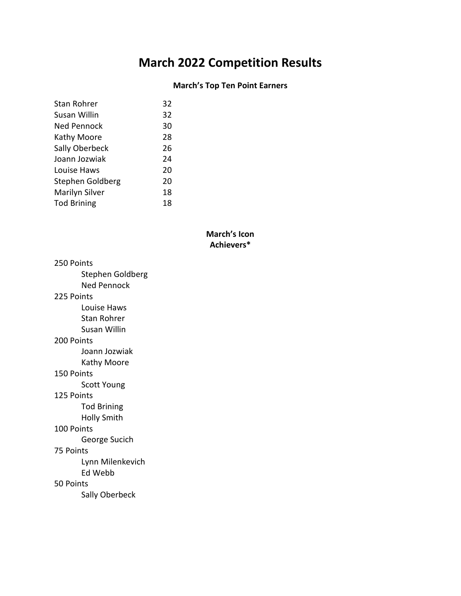# **March 2022 Competition Results**

# **March's Top Ten Point Earners**

| Stan Rohrer        | 32 |
|--------------------|----|
| Susan Willin       | 32 |
| Ned Pennock        | 30 |
| Kathy Moore        | 28 |
| Sally Oberbeck     | 26 |
| Joann Jozwiak      | 24 |
| Louise Haws        | 20 |
| Stephen Goldberg   | 20 |
| Marilyn Silver     | 18 |
| <b>Tod Brining</b> | 18 |
|                    |    |

# **March's Icon Achievers\***

| 250 Points          |  |  |
|---------------------|--|--|
| Stephen Goldberg    |  |  |
| Ned Pennock         |  |  |
| 225 Points          |  |  |
| Louise Haws         |  |  |
| Stan Rohrer         |  |  |
| <b>Susan Willin</b> |  |  |
| 200 Points          |  |  |
| Joann Jozwiak       |  |  |
| Kathy Moore         |  |  |
| 150 Points          |  |  |
| <b>Scott Young</b>  |  |  |
| 125 Points          |  |  |
| <b>Tod Brining</b>  |  |  |
| <b>Holly Smith</b>  |  |  |
| 100 Points          |  |  |
| George Sucich       |  |  |
| 75 Points           |  |  |
| Lynn Milenkevich    |  |  |
| Ed Webb             |  |  |
| 50 Points           |  |  |
| Sally Oberbeck      |  |  |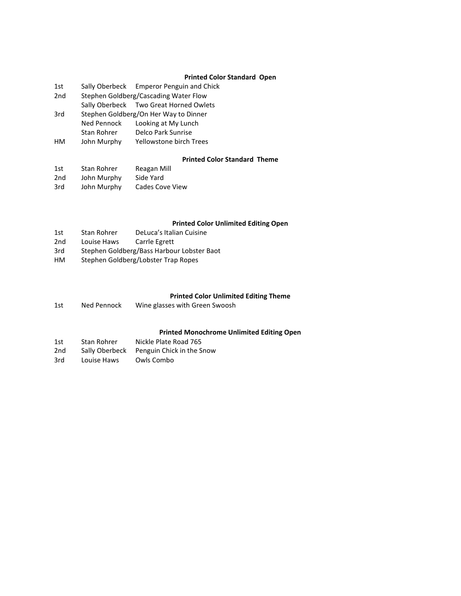#### **Printed Color Standard Open**

| 1st |                                       | Sally Oberbeck Emperor Penguin and Chick |  |
|-----|---------------------------------------|------------------------------------------|--|
| 2nd | Stephen Goldberg/Cascading Water Flow |                                          |  |
|     |                                       | Sally Oberbeck Two Great Horned Owlets   |  |
| 3rd | Stephen Goldberg/On Her Way to Dinner |                                          |  |
|     | Ned Pennock                           | Looking at My Lunch                      |  |
|     | Stan Rohrer                           | Delco Park Sunrise                       |  |
| нм  | John Murphy                           | Yellowstone birch Trees                  |  |
|     |                                       |                                          |  |

#### **Printed Color Standard Theme**

| 1st | Stan Rohrer | Reagan Mill     |
|-----|-------------|-----------------|
| 2nd | John Murphy | Side Yard       |
| 3rd | John Murphy | Cades Cove View |

### **Printed Color Unlimited Editing Open**

- 1st Stan Rohrer DeLuca's Italian Cuisine<br>2nd Louise Haws Carrle Egrett
- Carrle Egrett
- 3rd Stephen Goldberg/Bass Harbour Lobster Baot
- HM Stephen Goldberg/Lobster Trap Ropes

#### **Printed Color Unlimited Editing Theme**

1st Ned Pennock Wine glasses with Green Swoosh

#### **Printed Monochrome Unlimited Editing Open**

| 1st | Stan Rohrer    | Nickle Plate Road 765     |
|-----|----------------|---------------------------|
| 2nd | Sally Oberbeck | Penguin Chick in the Snow |
| 3rd | Louise Haws    | Owls Combo                |